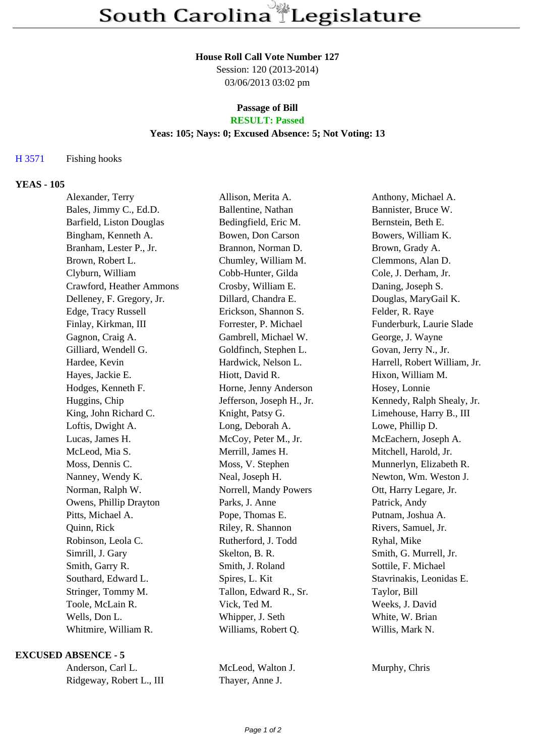### **House Roll Call Vote Number 127**

Session: 120 (2013-2014) 03/06/2013 03:02 pm

### **Passage of Bill RESULT: Passed**

### **Yeas: 105; Nays: 0; Excused Absence: 5; Not Voting: 13**

## H 3571 Fishing hooks

# **YEAS - 105**

| Alexander, Terry          | Allison, Merita A.        | Anthony, Michael A.          |
|---------------------------|---------------------------|------------------------------|
| Bales, Jimmy C., Ed.D.    | Ballentine, Nathan        | Bannister, Bruce W.          |
| Barfield, Liston Douglas  | Bedingfield, Eric M.      | Bernstein, Beth E.           |
| Bingham, Kenneth A.       | Bowen, Don Carson         | Bowers, William K.           |
| Branham, Lester P., Jr.   | Brannon, Norman D.        | Brown, Grady A.              |
| Brown, Robert L.          | Chumley, William M.       | Clemmons, Alan D.            |
| Clyburn, William          | Cobb-Hunter, Gilda        | Cole, J. Derham, Jr.         |
| Crawford, Heather Ammons  | Crosby, William E.        | Daning, Joseph S.            |
| Delleney, F. Gregory, Jr. | Dillard, Chandra E.       | Douglas, MaryGail K.         |
| Edge, Tracy Russell       | Erickson, Shannon S.      | Felder, R. Raye              |
| Finlay, Kirkman, III      | Forrester, P. Michael     | Funderburk, Laurie Slade     |
| Gagnon, Craig A.          | Gambrell, Michael W.      | George, J. Wayne             |
| Gilliard, Wendell G.      | Goldfinch, Stephen L.     | Govan, Jerry N., Jr.         |
| Hardee, Kevin             | Hardwick, Nelson L.       | Harrell, Robert William, Jr. |
| Hayes, Jackie E.          | Hiott, David R.           | Hixon, William M.            |
| Hodges, Kenneth F.        | Horne, Jenny Anderson     | Hosey, Lonnie                |
| Huggins, Chip             | Jefferson, Joseph H., Jr. | Kennedy, Ralph Shealy, Jr.   |
| King, John Richard C.     | Knight, Patsy G.          | Limehouse, Harry B., III     |
| Loftis, Dwight A.         | Long, Deborah A.          | Lowe, Phillip D.             |
| Lucas, James H.           | McCoy, Peter M., Jr.      | McEachern, Joseph A.         |
| McLeod, Mia S.            | Merrill, James H.         | Mitchell, Harold, Jr.        |
| Moss, Dennis C.           | Moss, V. Stephen          | Munnerlyn, Elizabeth R.      |
| Nanney, Wendy K.          | Neal, Joseph H.           | Newton, Wm. Weston J.        |
| Norman, Ralph W.          | Norrell, Mandy Powers     | Ott, Harry Legare, Jr.       |
| Owens, Phillip Drayton    | Parks, J. Anne            | Patrick, Andy                |
| Pitts, Michael A.         | Pope, Thomas E.           | Putnam, Joshua A.            |
| Quinn, Rick               | Riley, R. Shannon         | Rivers, Samuel, Jr.          |
| Robinson, Leola C.        | Rutherford, J. Todd       | Ryhal, Mike                  |
| Simrill, J. Gary          | Skelton, B. R.            | Smith, G. Murrell, Jr.       |
| Smith, Garry R.           | Smith, J. Roland          | Sottile, F. Michael          |
| Southard, Edward L.       | Spires, L. Kit            | Stavrinakis, Leonidas E.     |
| Stringer, Tommy M.        | Tallon, Edward R., Sr.    | Taylor, Bill                 |
| Toole, McLain R.          | Vick, Ted M.              | Weeks, J. David              |
| Wells, Don L.             | Whipper, J. Seth          | White, W. Brian              |
| Whitmire, William R.      | Williams, Robert Q.       | Willis, Mark N.              |

#### **EXCUSED ABSENCE - 5**

| Anderson, Carl L.        |  |
|--------------------------|--|
| Ridgeway, Robert L., III |  |

McLeod, Walton J. Murphy, Chris Thayer, Anne J.